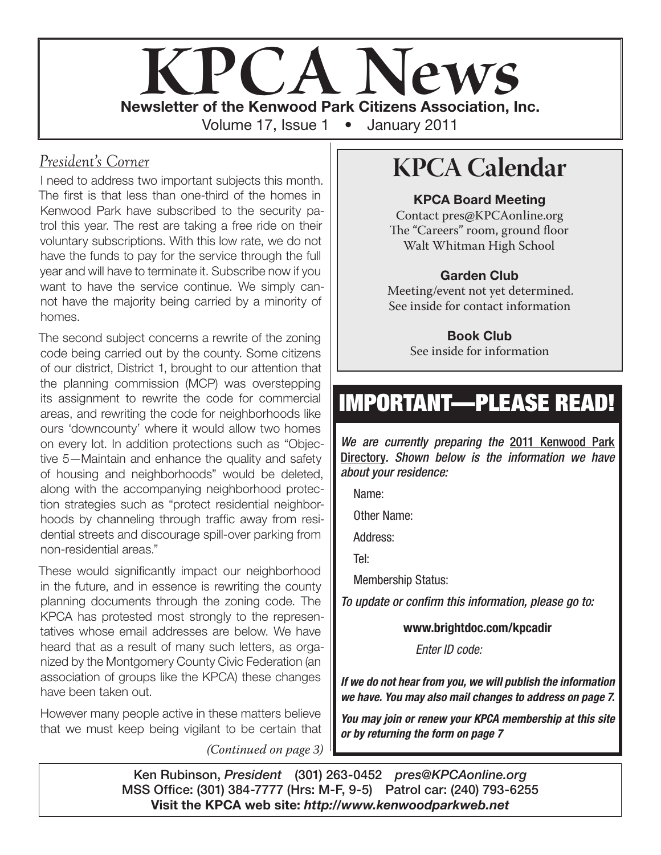

#### *President's Corner*

I need to address two important subjects this month. The first is that less than one-third of the homes in Kenwood Park have subscribed to the security patrol this year. The rest are taking a free ride on their voluntary subscriptions. With this low rate, we do not have the funds to pay for the service through the full year and will have to terminate it. Subscribe now if you want to have the service continue. We simply cannot have the majority being carried by a minority of homes.

The second subject concerns a rewrite of the zoning code being carried out by the county. Some citizens of our district, District 1, brought to our attention that the planning commission (MCP) was overstepping its assignment to rewrite the code for commercial areas, and rewriting the code for neighborhoods like ours 'downcounty' where it would allow two homes on every lot. In addition protections such as "Objective 5—Maintain and enhance the quality and safety of housing and neighborhoods" would be deleted, along with the accompanying neighborhood protection strategies such as "protect residential neighborhoods by channeling through traffic away from residential streets and discourage spill-over parking from non-residential areas."

These would significantly impact our neighborhood in the future, and in essence is rewriting the county planning documents through the zoning code. The KPCA has protested most strongly to the representatives whose email addresses are below. We have heard that as a result of many such letters, as organized by the Montgomery County Civic Federation (an association of groups like the KPCA) these changes have been taken out.

However many people active in these matters believe that we must keep being vigilant to be certain that

*(Continued on page 3)*

# **KPCA Calendar**

#### KPCA Board Meeting

Contact pres@KPCAonline.org The "Careers" room, ground floor Walt Whitman High School

#### Garden Club

Meeting/event not yet determined. See inside for contact information

> Book Club See inside for information

# IMPORTANT—PLEASE READ!

*We are currently preparing the* 2011 Kenwood Park Directory*. Shown below is the information we have about your residence:*

Name:

Other Name:

Address:

Tel:

Membership Status:

*To update or confirm this information, please go to:* 

www.brightdoc.com/kpcadir

Enter ID code:

*If we do not hear from you, we will publish the information we have. You may also mail changes to address on page 7.*

*You may join or renew your KPCA membership at this site or by returning the form on page 7*

Ken Rubinson, *President* (301) 263-0452 *pres@KPCAonline.org* MSS Office: (301) 384-7777 (Hrs: M-F, 9-5) Patrol car: (240) 793-6255 Visit the KPCA web site: *http://www.kenwoodparkweb.net*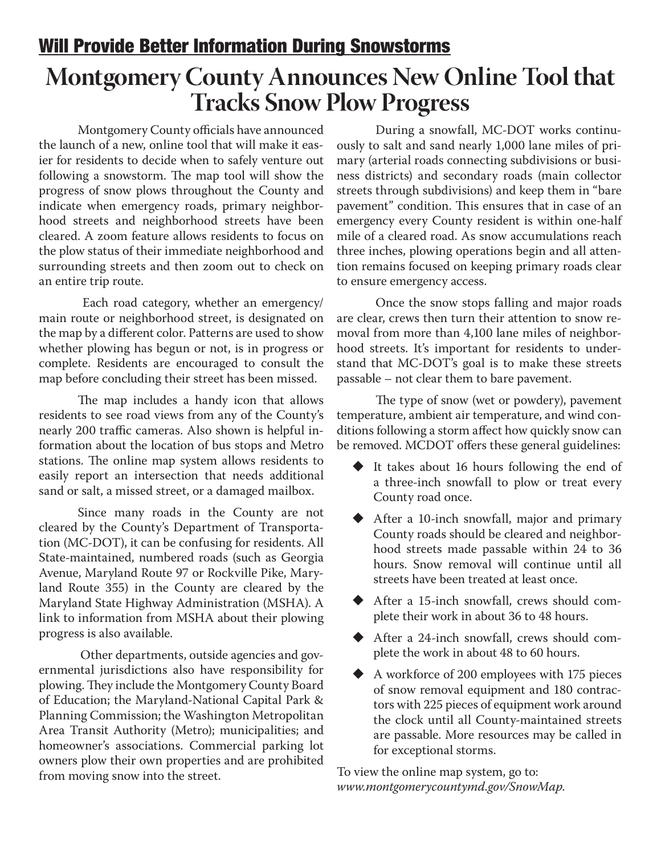### Will Provide Better Information During Snowstorms

## **Montgomery County Announces New Online Tool that Tracks Snow Plow Progress**

Montgomery County officials have announced the launch of a new, online tool that will make it easier for residents to decide when to safely venture out following a snowstorm. The map tool will show the progress of snow plows throughout the County and indicate when emergency roads, primary neighborhood streets and neighborhood streets have been cleared. A zoom feature allows residents to focus on the plow status of their immediate neighborhood and surrounding streets and then zoom out to check on an entire trip route.

 Each road category, whether an emergency/ main route or neighborhood street, is designated on the map by a different color. Patterns are used to show whether plowing has begun or not, is in progress or complete. Residents are encouraged to consult the map before concluding their street has been missed.

The map includes a handy icon that allows residents to see road views from any of the County's nearly 200 traffic cameras. Also shown is helpful information about the location of bus stops and Metro stations. The online map system allows residents to easily report an intersection that needs additional sand or salt, a missed street, or a damaged mailbox.

Since many roads in the County are not cleared by the County's Department of Transportation (MC-DOT), it can be confusing for residents. All State-maintained, numbered roads (such as Georgia Avenue, Maryland Route 97 or Rockville Pike, Maryland Route 355) in the County are cleared by the Maryland State Highway Administration (MSHA). A link to information from MSHA about their plowing progress is also available.

 Other departments, outside agencies and governmental jurisdictions also have responsibility for plowing. They include the Montgomery County Board of Education; the Maryland-National Capital Park & Planning Commission; the Washington Metropolitan Area Transit Authority (Metro); municipalities; and homeowner's associations. Commercial parking lot owners plow their own properties and are prohibited from moving snow into the street.

During a snowfall, MC-DOT works continuously to salt and sand nearly 1,000 lane miles of primary (arterial roads connecting subdivisions or business districts) and secondary roads (main collector streets through subdivisions) and keep them in "bare pavement" condition. This ensures that in case of an emergency every County resident is within one-half mile of a cleared road. As snow accumulations reach three inches, plowing operations begin and all attention remains focused on keeping primary roads clear to ensure emergency access.

Once the snow stops falling and major roads are clear, crews then turn their attention to snow removal from more than 4,100 lane miles of neighborhood streets. It's important for residents to understand that MC-DOT's goal is to make these streets passable – not clear them to bare pavement.

The type of snow (wet or powdery), pavement temperature, ambient air temperature, and wind conditions following a storm affect how quickly snow can be removed. MCDOT offers these general guidelines:

- $\blacklozenge$  It takes about 16 hours following the end of a three-inch snowfall to plow or treat every County road once.
- ◆ After a 10-inch snowfall, major and primary County roads should be cleared and neighborhood streets made passable within 24 to 36 hours. Snow removal will continue until all streets have been treated at least once.
- After a 15-inch snowfall, crews should complete their work in about 36 to 48 hours.
- After a 24-inch snowfall, crews should complete the work in about 48 to 60 hours.
- A workforce of 200 employees with 175 pieces of snow removal equipment and 180 contractors with 225 pieces of equipment work around the clock until all County-maintained streets are passable. More resources may be called in for exceptional storms.

To view the online map system, go to: *www.montgomerycountymd.gov/SnowMap*.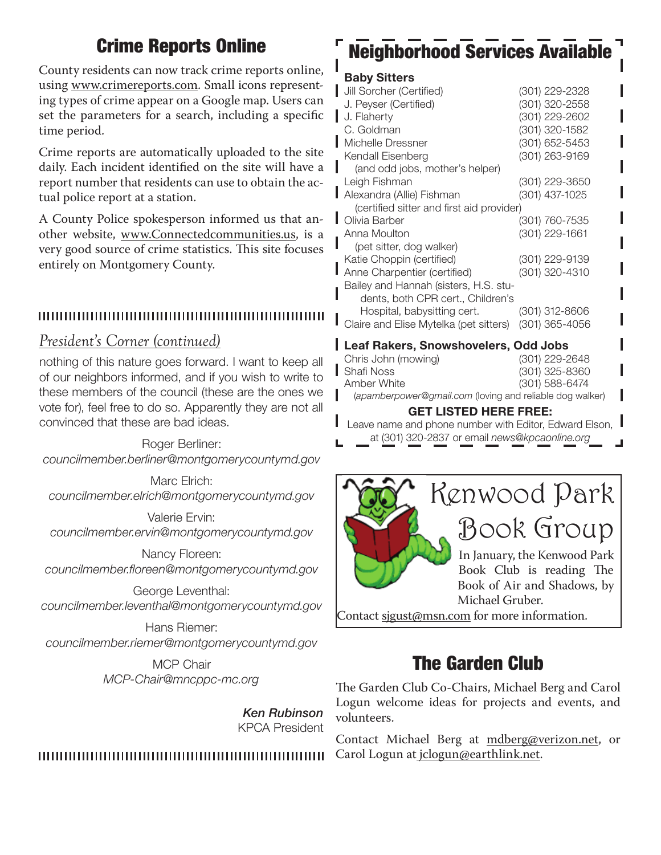### Crime Reports Online

County residents can now track crime reports online, using www.crimereports.com. Small icons representing types of crime appear on a Google map. Users can set the parameters for a search, including a specific time period.

Crime reports are automatically uploaded to the site daily. Each incident identified on the site will have a report number that residents can use to obtain the actual police report at a station.

A County Police spokesperson informed us that another website, www.Connectedcommunities.us, is a very good source of crime statistics. This site focuses entirely on Montgomery County.

#### 

#### *President's Corner (continued)*

nothing of this nature goes forward. I want to keep all of our neighbors informed, and if you wish to write to these members of the council (these are the ones we vote for), feel free to do so. Apparently they are not all convinced that these are bad ideas.

#### Roger Berliner:

*councilmember.berliner@montgomerycountymd.gov*

Marc Elrich: *councilmember.elrich@montgomerycountymd.gov*

Valerie Ervin: *councilmember.ervin@montgomerycountymd.gov*

Nancy Floreen: *councilmember.floreen@montgomerycountymd.gov*

George Leventhal: *councilmember.leventhal@montgomerycountymd.gov*

Hans Riemer: *councilmember.riemer@montgomerycountymd.gov*

> MCP Chair *MCP-Chair@mncppc-mc.org*

> > *Ken Rubinson* KPCA President

# Neighborhood Services Available

#### Baby Sitters

| Jill Sorcher (Certified)                  | (301) 229-2328 |
|-------------------------------------------|----------------|
| J. Peyser (Certified)                     | (301) 320-2558 |
| J. Flaherty                               | (301) 229-2602 |
| C. Goldman                                | (301) 320-1582 |
| Michelle Dressner                         | (301) 652-5453 |
| Kendall Eisenberg                         | (301) 263-9169 |
| (and odd jobs, mother's helper)           |                |
| Leigh Fishman                             | (301) 229-3650 |
| Alexandra (Allie) Fishman                 | (301) 437-1025 |
| (certified sitter and first aid provider) |                |
| Olivia Barber                             | (301) 760-7535 |
| Anna Moulton                              | (301) 229-1661 |
| (pet sitter, dog walker)                  |                |
| Katie Choppin (certified)                 | (301) 229-9139 |
| Anne Charpentier (certified)              | (301) 320-4310 |
| Bailey and Hannah (sisters, H.S. stu-     |                |
| dents, both CPR cert., Children's         |                |
| Hospital, babysitting cert.               | (301) 312-8606 |
| Claire and Elise Mytelka (pet sitters)    | (301) 365-4056 |

#### Leaf Rakers, Snowshovelers, Odd Jobs

| <b>GET LISTED HERE FREE:</b>                             |                |  |
|----------------------------------------------------------|----------------|--|
| (apamberpower@gmail.com (loving and reliable dog walker) |                |  |
| Amber White                                              | (301) 588-6474 |  |
| Shafi Noss                                               | (301) 325-8360 |  |
| Chris John (mowing)                                      | (301) 229-2648 |  |

Leave name and phone number with Editor, Edward Elson, at (301) 320-2837 or email *news@kpcaonline.org*



Contact sigust@msn.com for more information.

### The Garden Club

The Garden Club Co-Chairs, Michael Berg and Carol Logun welcome ideas for projects and events, and volunteers.

Contact Michael Berg at mdberg@verizon.net, or Carol Logun at jclogun@earthlink.net.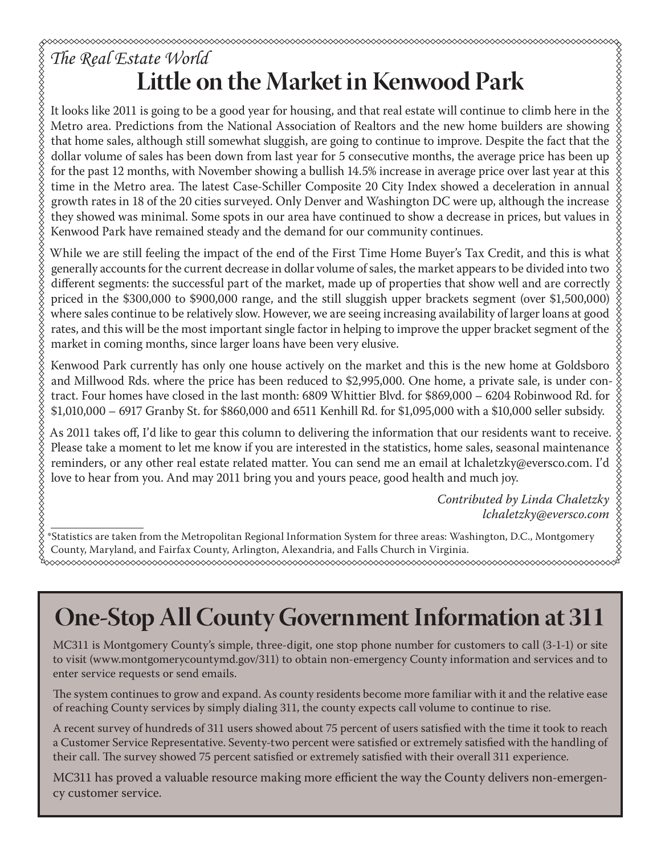# *The Real Estate World* **Little on the Market in Kenwood Park**

It looks like 2011 is going to be a good year for housing, and that real estate will continue to climb here in the Metro area. Predictions from the National Association of Realtors and the new home builders are showing that home sales, although still somewhat sluggish, are going to continue to improve. Despite the fact that the dollar volume of sales has been down from last year for 5 consecutive months, the average price has been up for the past 12 months, with November showing a bullish 14.5% increase in average price over last year at this time in the Metro area. The latest Case-Schiller Composite 20 City Index showed a deceleration in annual growth rates in 18 of the 20 cities surveyed. Only Denver and Washington DC were up, although the increase they showed was minimal. Some spots in our area have continued to show a decrease in prices, but values in Kenwood Park have remained steady and the demand for our community continues.

While we are still feeling the impact of the end of the First Time Home Buyer's Tax Credit, and this is what generally accounts for the current decrease in dollar volume of sales, the market appears to be divided into two different segments: the successful part of the market, made up of properties that show well and are correctly priced in the \$300,000 to \$900,000 range, and the still sluggish upper brackets segment (over \$1,500,000) where sales continue to be relatively slow. However, we are seeing increasing availability of larger loans at good rates, and this will be the most important single factor in helping to improve the upper bracket segment of the market in coming months, since larger loans have been very elusive.

Kenwood Park currently has only one house actively on the market and this is the new home at Goldsboro and Millwood Rds. where the price has been reduced to \$2,995,000. One home, a private sale, is under contract. Four homes have closed in the last month: 6809 Whittier Blvd. for \$869,000 – 6204 Robinwood Rd. for \$1,010,000 – 6917 Granby St. for \$860,000 and 6511 Kenhill Rd. for \$1,095,000 with a \$10,000 seller subsidy.

As 2011 takes off, I'd like to gear this column to delivering the information that our residents want to receive. Please take a moment to let me know if you are interested in the statistics, home sales, seasonal maintenance reminders, or any other real estate related matter. You can send me an email at lchaletzky@eversco.com. I'd love to hear from you. And may 2011 bring you and yours peace, good health and much joy.

> *Contributed by Linda Chaletzky lchaletzky@eversco.com*

\*Statistics are taken from the Metropolitan Regional Information System for three areas: Washington, D.C., Montgomery County, Maryland, and Fairfax County, Arlington, Alexandria, and Falls Church in Virginia.

# **One-Stop All County Government Information at 311**

MC311 is Montgomery County's simple, three-digit, one stop phone number for customers to call (3-1-1) or site to visit (www.montgomerycountymd.gov/311) to obtain non-emergency County information and services and to enter service requests or send emails.

The system continues to grow and expand. As county residents become more familiar with it and the relative ease of reaching County services by simply dialing 311, the county expects call volume to continue to rise.

A recent survey of hundreds of 311 users showed about 75 percent of users satisfied with the time it took to reach a Customer Service Representative. Seventy-two percent were satisfied or extremely satisfied with the handling of their call. The survey showed 75 percent satisfied or extremely satisfied with their overall 311 experience.

MC311 has proved a valuable resource making more efficient the way the County delivers non-emergency customer service.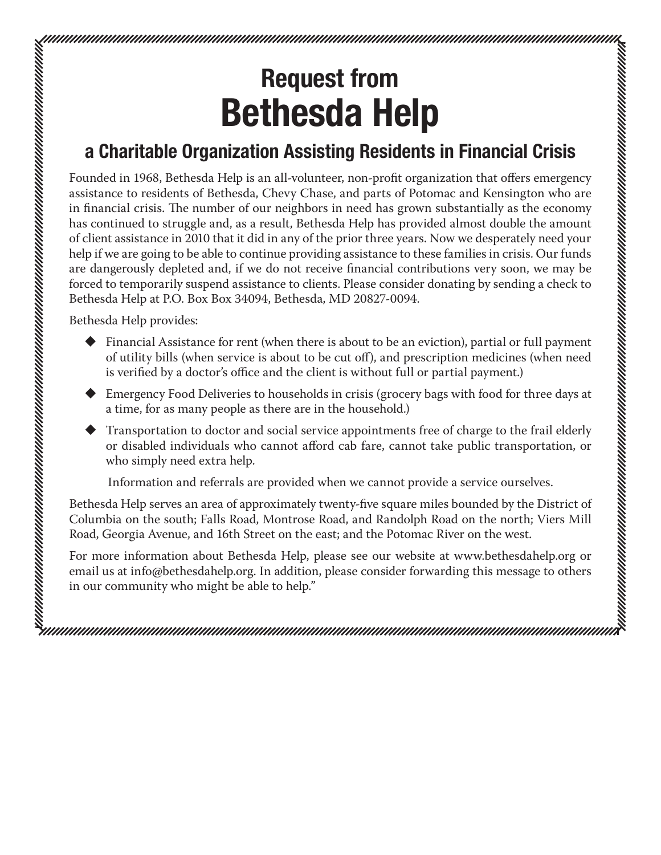# Request from Bethesda Help

### a Charitable Organization Assisting Residents in Financial Crisis

Founded in 1968, Bethesda Help is an all-volunteer, non-profit organization that offers emergency assistance to residents of Bethesda, Chevy Chase, and parts of Potomac and Kensington who are in financial crisis. The number of our neighbors in need has grown substantially as the economy has continued to struggle and, as a result, Bethesda Help has provided almost double the amount of client assistance in 2010 that it did in any of the prior three years. Now we desperately need your help if we are going to be able to continue providing assistance to these families in crisis. Our funds are dangerously depleted and, if we do not receive financial contributions very soon, we may be forced to temporarily suspend assistance to clients. Please consider donating by sending a check to Bethesda Help at P.O. Box Box 34094, Bethesda, MD 20827-0094.

Bethesda Help provides:

 $\blacklozenge$  Financial Assistance for rent (when there is about to be an eviction), partial or full payment of utility bills (when service is about to be cut off), and prescription medicines (when need is verified by a doctor's office and the client is without full or partial payment.)

amamanin manamanin manamanin manamanin manamanin manamanin manamanin manamanin manamanin manamanin m

- Emergency Food Deliveries to households in crisis (grocery bags with food for three days at a time, for as many people as there are in the household.)
- Transportation to doctor and social service appointments free of charge to the frail elderly or disabled individuals who cannot afford cab fare, cannot take public transportation, or who simply need extra help.

Information and referrals are provided when we cannot provide a service ourselves.

Bethesda Help serves an area of approximately twenty-five square miles bounded by the District of Columbia on the south; Falls Road, Montrose Road, and Randolph Road on the north; Viers Mill Road, Georgia Avenue, and 16th Street on the east; and the Potomac River on the west.

For more information about Bethesda Help, please see our website at www.bethesdahelp.org or email us at info@bethesdahelp.org. In addition, please consider forwarding this message to others in our community who might be able to help."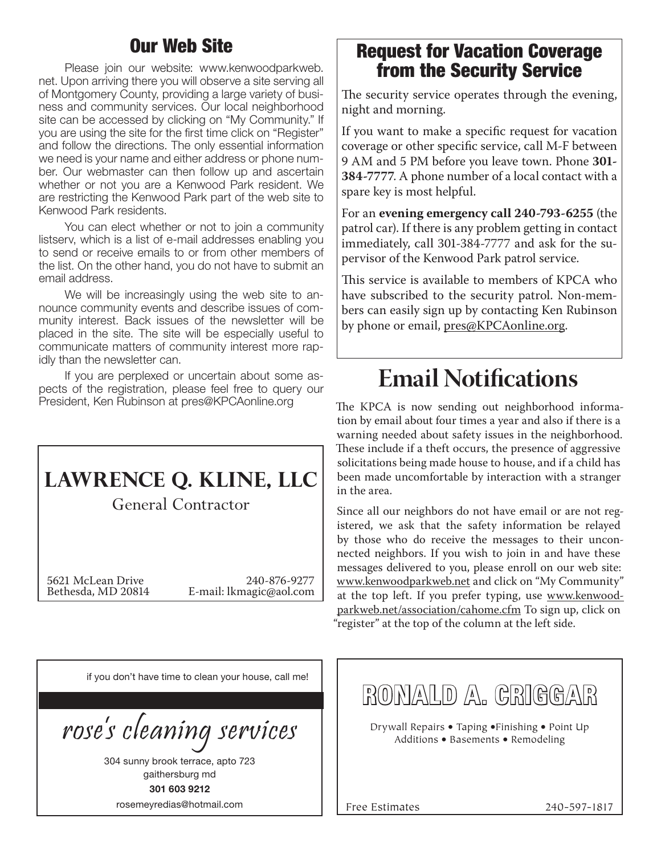### Our Web Site

Please join our website: www.kenwoodparkweb. net. Upon arriving there you will observe a site serving all of Montgomery County, providing a large variety of business and community services. Our local neighborhood site can be accessed by clicking on "My Community." If you are using the site for the first time click on "Register" and follow the directions. The only essential information we need is your name and either address or phone number. Our webmaster can then follow up and ascertain whether or not you are a Kenwood Park resident. We are restricting the Kenwood Park part of the web site to Kenwood Park residents.

You can elect whether or not to join a community listserv, which is a list of e-mail addresses enabling you to send or receive emails to or from other members of the list. On the other hand, you do not have to submit an email address.

We will be increasingly using the web site to announce community events and describe issues of community interest. Back issues of the newsletter will be placed in the site. The site will be especially useful to communicate matters of community interest more rapidly than the newsletter can.

If you are perplexed or uncertain about some aspects of the registration, please feel free to query our President, Ken Rubinson at pres@KPCAonline.org

## **LAWRENCE Q. KLINE, LLC**

General Contractor

5621 McLean Drive 240-876-9277<br>Bethesda, MD 20814 E-mail: lkmagic@aol.com E-mail: lkmagic@aol.com

### Request for Vacation Coverage from the Security Service

The security service operates through the evening, night and morning.

If you want to make a specific request for vacation coverage or other specific service, call M-F between 9 AM and 5 PM before you leave town. Phone **301- 384-7777**. A phone number of a local contact with a spare key is most helpful.

For an **evening emergency call 240-793-6255** (the patrol car). If there is any problem getting in contact immediately, call 301-384-7777 and ask for the supervisor of the Kenwood Park patrol service.

This service is available to members of KPCA who have subscribed to the security patrol. Non-members can easily sign up by contacting Ken Rubinson by phone or email, pres@KPCAonline.org.

# **Email Notifications**

The KPCA is now sending out neighborhood information by email about four times a year and also if there is a warning needed about safety issues in the neighborhood. These include if a theft occurs, the presence of aggressive solicitations being made house to house, and if a child has been made uncomfortable by interaction with a stranger in the area.

Since all our neighbors do not have email or are not registered, we ask that the safety information be relayed by those who do receive the messages to their unconnected neighbors. If you wish to join in and have these messages delivered to you, please enroll on our web site: www.kenwoodparkweb.net and click on "My Community" at the top left. If you prefer typing, use www.kenwoodparkweb.net/association/cahome.cfm To sign up, click on "register" at the top of the column at the left side.

| if you don't have time to clean your house, call me! |
|------------------------------------------------------|
|                                                      |
| rose's cleaning services                             |
| 304 sunny brook terrace, apto 723                    |
| gaithersburg md                                      |
| 301 603 9212                                         |
| rosemeyredias@hotmail.com                            |

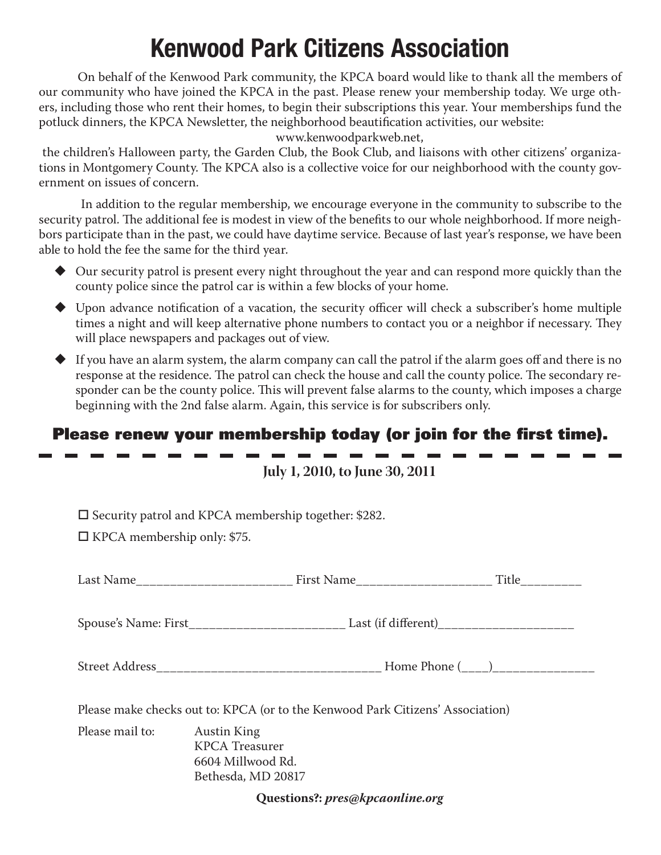# Kenwood Park Citizens Association

On behalf of the Kenwood Park community, the KPCA board would like to thank all the members of our community who have joined the KPCA in the past. Please renew your membership today. We urge others, including those who rent their homes, to begin their subscriptions this year. Your memberships fund the potluck dinners, the KPCA Newsletter, the neighborhood beautification activities, our website:

www.kenwoodparkweb.net,

 the children's Halloween party, the Garden Club, the Book Club, and liaisons with other citizens' organizations in Montgomery County. The KPCA also is a collective voice for our neighborhood with the county government on issues of concern.

 In addition to the regular membership, we encourage everyone in the community to subscribe to the security patrol. The additional fee is modest in view of the benefits to our whole neighborhood. If more neighbors participate than in the past, we could have daytime service. Because of last year's response, we have been able to hold the fee the same for the third year.

- Our security patrol is present every night throughout the year and can respond more quickly than the county police since the patrol car is within a few blocks of your home.
- $\blacklozenge$  Upon advance notification of a vacation, the security officer will check a subscriber's home multiple times a night and will keep alternative phone numbers to contact you or a neighbor if necessary. They will place newspapers and packages out of view.
- $\blacklozenge$  If you have an alarm system, the alarm company can call the patrol if the alarm goes off and there is no response at the residence. The patrol can check the house and call the county police. The secondary responder can be the county police. This will prevent false alarms to the county, which imposes a charge beginning with the 2nd false alarm. Again, this service is for subscribers only.

### Please renew your membership today (or join for the first time).

**July 1, 2010, to June 30, 2011**

 $\square$  Security patrol and KPCA membership together: \$282.

 $\Box$  KPCA membership only: \$75.

| Please make checks out to: KPCA (or to the Kenwood Park Citizens' Association)         |  |  |  |
|----------------------------------------------------------------------------------------|--|--|--|
| <b>Austin King</b><br><b>KPCA</b> Treasurer<br>6604 Millwood Rd.<br>Bethesda, MD 20817 |  |  |  |
|                                                                                        |  |  |  |

**Questions?:** *pres@kpcaonline.org*